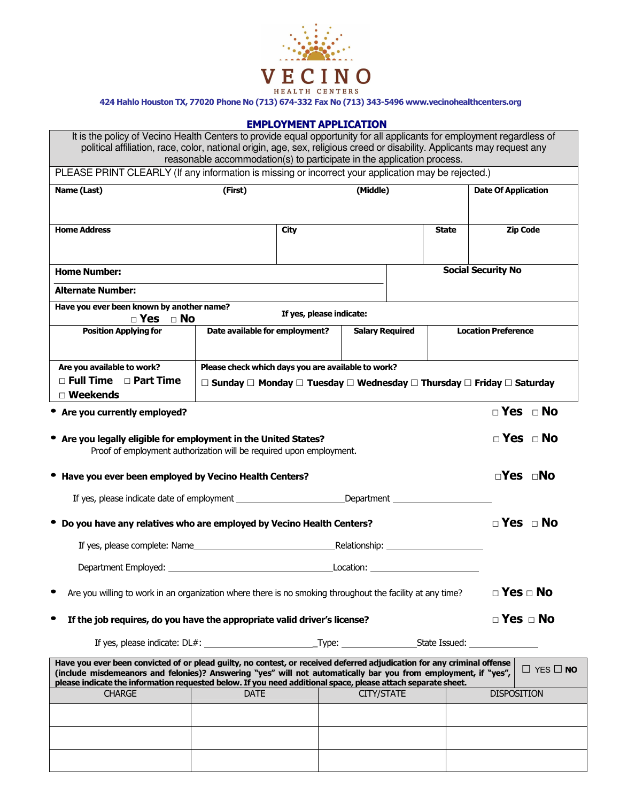

424 Hahlo Houston TX, 77020 Phone No (713) 674-332 Fax No (713) 343-5496 www.vecinohealthcenters.org

## **EMPLOYMENT APPLICATION**

| It is the policy of Vecino Health Centers to provide equal opportunity for all applicants for employment regardless of<br>political affiliation, race, color, national origin, age, sex, religious creed or disability. Applicants may request any                                                                                                        |                                                    |                          | reasonable accommodation(s) to participate in the application process. |              |                            |
|-----------------------------------------------------------------------------------------------------------------------------------------------------------------------------------------------------------------------------------------------------------------------------------------------------------------------------------------------------------|----------------------------------------------------|--------------------------|------------------------------------------------------------------------|--------------|----------------------------|
| PLEASE PRINT CLEARLY (If any information is missing or incorrect your application may be rejected.)                                                                                                                                                                                                                                                       |                                                    |                          |                                                                        |              |                            |
| Name (Last)                                                                                                                                                                                                                                                                                                                                               | (First)                                            |                          | (Middle)                                                               |              | <b>Date Of Application</b> |
| <b>Home Address</b>                                                                                                                                                                                                                                                                                                                                       |                                                    | <b>City</b>              |                                                                        | <b>State</b> | <b>Zip Code</b>            |
| <b>Home Number:</b><br><b>Alternate Number:</b>                                                                                                                                                                                                                                                                                                           |                                                    |                          |                                                                        |              | <b>Social Security No</b>  |
| Have you ever been known by another name?                                                                                                                                                                                                                                                                                                                 |                                                    |                          |                                                                        |              |                            |
| $\Box$ Yes $\Box$ No                                                                                                                                                                                                                                                                                                                                      |                                                    | If yes, please indicate: |                                                                        |              |                            |
| <b>Position Applying for</b>                                                                                                                                                                                                                                                                                                                              | Date available for employment?                     |                          | <b>Salary Required</b>                                                 |              | <b>Location Preference</b> |
| Are you available to work?<br>$\Box$ Full Time $\Box$ Part Time<br>□ Weekends                                                                                                                                                                                                                                                                             | Please check which days you are available to work? |                          | □ Sunday □ Monday □ Tuesday □ Wednesday □ Thursday □ Friday □ Saturday |              |                            |
| • Are you currently employed?                                                                                                                                                                                                                                                                                                                             |                                                    |                          |                                                                        |              | $\Box$ Yes $\Box$ No       |
| • Are you legally eligible for employment in the United States?<br>Proof of employment authorization will be required upon employment.                                                                                                                                                                                                                    |                                                    |                          |                                                                        |              | $\Box$ Yes $\Box$ No       |
| Have you ever been employed by Vecino Health Centers?                                                                                                                                                                                                                                                                                                     |                                                    |                          |                                                                        |              | $\neg$ Yes $\neg$ No       |
| If yes, please indicate date of employment ________________________________Department ______________                                                                                                                                                                                                                                                      |                                                    |                          |                                                                        |              |                            |
| Do you have any relatives who are employed by Vecino Health Centers?                                                                                                                                                                                                                                                                                      |                                                    |                          |                                                                        |              | $\Box$ Yes $\Box$ No       |
| If yes, please complete: Name                                                                                                                                                                                                                                                                                                                             |                                                    |                          |                                                                        |              |                            |
| <b>Location:</b> the contract of the contract of the contract of the contract of the contract of the contract of the contract of the contract of the contract of the contract of the contract of the contract of the contract of th                                                                                                                       |                                                    |                          |                                                                        |              |                            |
| $\square$ Yes $\square$ No<br>Are you willing to work in an organization where there is no smoking throughout the facility at any time?                                                                                                                                                                                                                   |                                                    |                          |                                                                        |              |                            |
| If the job requires, do you have the appropriate valid driver's license?                                                                                                                                                                                                                                                                                  |                                                    |                          |                                                                        |              | $\Box$ Yes $\Box$ No       |
|                                                                                                                                                                                                                                                                                                                                                           |                                                    |                          |                                                                        |              |                            |
| Have you ever been convicted of or plead guilty, no contest, or received deferred adjudication for any criminal offense<br>(include misdemeanors and felonies)? Answering "yes" will not automatically bar you from employment, if "yes",<br>please indicate the information requested below. If you need additional space, please attach separate sheet. |                                                    |                          |                                                                        |              | $\Box$ Yes $\Box$ No       |
| <b>DATE</b><br><b>CITY/STATE</b><br><b>DISPOSITION</b><br><b>CHARGE</b>                                                                                                                                                                                                                                                                                   |                                                    |                          |                                                                        |              |                            |
|                                                                                                                                                                                                                                                                                                                                                           |                                                    |                          |                                                                        |              |                            |
|                                                                                                                                                                                                                                                                                                                                                           |                                                    |                          |                                                                        |              |                            |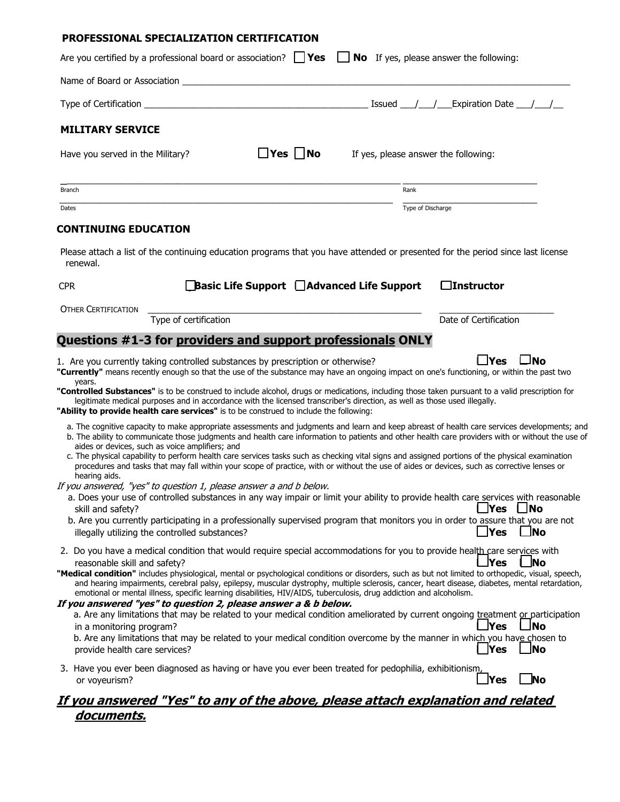| PROFESSIONAL SPECIALIZATION CERTIFICATION                                                                               |                       |                      |                                                                                                                           |                                                                                                                                                                                                                                                                                                                                                                                                                                                     |
|-------------------------------------------------------------------------------------------------------------------------|-----------------------|----------------------|---------------------------------------------------------------------------------------------------------------------------|-----------------------------------------------------------------------------------------------------------------------------------------------------------------------------------------------------------------------------------------------------------------------------------------------------------------------------------------------------------------------------------------------------------------------------------------------------|
| Are you certified by a professional board or association? $\Box$ Yes $\Box$ No If yes, please answer the following:     |                       |                      |                                                                                                                           |                                                                                                                                                                                                                                                                                                                                                                                                                                                     |
|                                                                                                                         |                       |                      |                                                                                                                           |                                                                                                                                                                                                                                                                                                                                                                                                                                                     |
|                                                                                                                         |                       |                      |                                                                                                                           | Type of Certification $\qquad \qquad$                                                                                                                                                                                                                                                                                                                                                                                                               |
| <b>MILITARY SERVICE</b>                                                                                                 |                       |                      |                                                                                                                           |                                                                                                                                                                                                                                                                                                                                                                                                                                                     |
| Have you served in the Military?                                                                                        |                       | $\Box$ Yes $\Box$ No | If yes, please answer the following:                                                                                      |                                                                                                                                                                                                                                                                                                                                                                                                                                                     |
| Branch                                                                                                                  |                       |                      | Rank                                                                                                                      |                                                                                                                                                                                                                                                                                                                                                                                                                                                     |
| Dates                                                                                                                   |                       |                      | Type of Discharge                                                                                                         |                                                                                                                                                                                                                                                                                                                                                                                                                                                     |
| <b>CONTINUING EDUCATION</b>                                                                                             |                       |                      |                                                                                                                           | Please attach a list of the continuing education programs that you have attended or presented for the period since last license                                                                                                                                                                                                                                                                                                                     |
| renewal.                                                                                                                |                       |                      |                                                                                                                           |                                                                                                                                                                                                                                                                                                                                                                                                                                                     |
| <b>CPR</b>                                                                                                              |                       |                      | $\Box$ Basic Life Support $\Box$ Advanced Life Support                                                                    | $\Box$ Instructor                                                                                                                                                                                                                                                                                                                                                                                                                                   |
| <b>OTHER CERTIFICATION</b>                                                                                              |                       |                      |                                                                                                                           |                                                                                                                                                                                                                                                                                                                                                                                                                                                     |
| Questions #1-3 for providers and support professionals ONLY                                                             | Type of certification |                      |                                                                                                                           | Date of Certification                                                                                                                                                                                                                                                                                                                                                                                                                               |
| "Ability to provide health care services" is to be construed to include the following:                                  |                       |                      | legitimate medical purposes and in accordance with the licensed transcriber's direction, as well as those used illegally. | "Controlled Substances" is to be construed to include alcohol, drugs or medications, including those taken pursuant to a valid prescription for<br>a. The cognitive capacity to make appropriate assessments and judgments and learn and keep abreast of health care services developments; and<br>b. The ability to communicate those judgments and health care information to patients and other health care providers with or without the use of |
| aides or devices, such as voice amplifiers; and                                                                         |                       |                      |                                                                                                                           | c. The physical capability to perform health care services tasks such as checking vital signs and assigned portions of the physical examination                                                                                                                                                                                                                                                                                                     |
| hearing aids.<br>If you answered, "yes" to question 1, please answer a and b below.                                     |                       |                      |                                                                                                                           | procedures and tasks that may fall within your scope of practice, with or without the use of aides or devices, such as corrective lenses or                                                                                                                                                                                                                                                                                                         |
|                                                                                                                         |                       |                      |                                                                                                                           | a. Does your use of controlled substances in any way impair or limit your ability to provide health care services with reasonable<br><b>Yes</b><br>$\Box$ No                                                                                                                                                                                                                                                                                        |
| skill and safety?<br>illegally utilizing the controlled substances?                                                     |                       |                      |                                                                                                                           | b. Are you currently participating in a professionally supervised program that monitors you in order to assure that you are not<br>_Yes<br>$\Box$ No                                                                                                                                                                                                                                                                                                |
| reasonable skill and safety?                                                                                            |                       |                      |                                                                                                                           | 2. Do you have a medical condition that would require special accommodations for you to provide health care services with<br>lNo<br>lYes                                                                                                                                                                                                                                                                                                            |
|                                                                                                                         |                       |                      | emotional or mental illness, specific learning disabilities, HIV/AIDS, tuberculosis, drug addiction and alcoholism.       | "Medical condition" includes physiological, mental or psychological conditions or disorders, such as but not limited to orthopedic, visual, speech,<br>and hearing impairments, cerebral palsy, epilepsy, muscular dystrophy, multiple sclerosis, cancer, heart disease, diabetes, mental retardation,                                                                                                                                              |
| If you answered "yes" to question 2, please answer a & b below.<br>in a monitoring program?                             |                       |                      |                                                                                                                           | a. Are any limitations that may be related to your medical condition ameliorated by current ongoing treatment or participation<br>⊥No<br>lYes<br>b. Are any limitations that may be related to your medical condition overcome by the manner in which you have chosen to                                                                                                                                                                            |
| provide health care services?                                                                                           |                       |                      |                                                                                                                           | <b>Yes</b><br><b>No</b>                                                                                                                                                                                                                                                                                                                                                                                                                             |
| 3. Have you ever been diagnosed as having or have you ever been treated for pedophilia, exhibitionism,<br>or voyeurism? |                       |                      |                                                                                                                           | <u> </u> Yes<br>No                                                                                                                                                                                                                                                                                                                                                                                                                                  |
| <u>documents.</u>                                                                                                       |                       |                      |                                                                                                                           | <u>If you answered "Yes" to any of the above, please attach explanation and related</u>                                                                                                                                                                                                                                                                                                                                                             |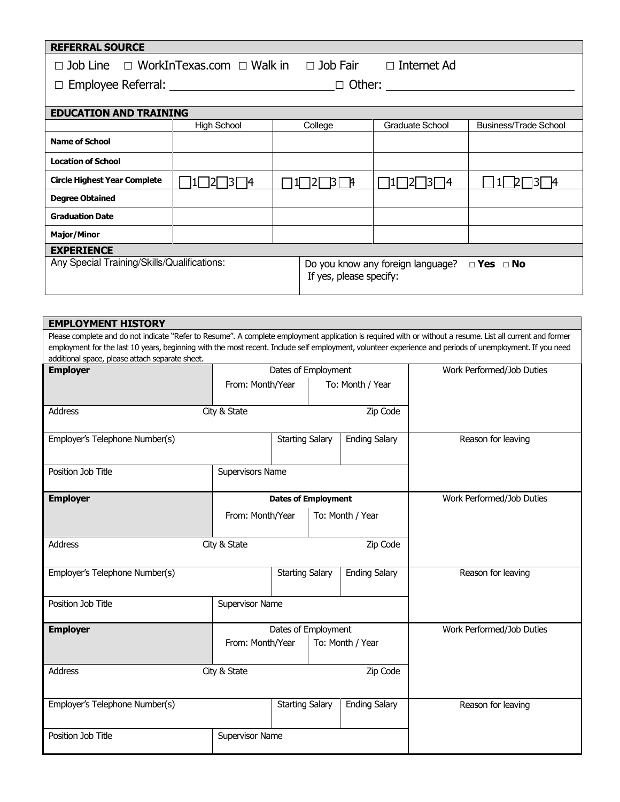## REFERRAL SOURCE

| $\Box$ Job Line $\Box$ WorkInTexas.com $\Box$ Walk in $\Box$ Job Fair | $\Box$ Internet Ad |
|-----------------------------------------------------------------------|--------------------|
|-----------------------------------------------------------------------|--------------------|

□ Employee Referral: □ Other:

| <b>EDUCATION AND TRAINING</b>               |                    |  |                                                                                      |                        |                       |  |
|---------------------------------------------|--------------------|--|--------------------------------------------------------------------------------------|------------------------|-----------------------|--|
|                                             | <b>High School</b> |  | College                                                                              | <b>Graduate School</b> | Business/Trade School |  |
| <b>Name of School</b>                       |                    |  |                                                                                      |                        |                       |  |
| <b>Location of School</b>                   |                    |  |                                                                                      |                        |                       |  |
| <b>Circle Highest Year Complete</b>         |                    |  | <b>A</b>                                                                             | 14                     |                       |  |
| <b>Degree Obtained</b>                      |                    |  |                                                                                      |                        |                       |  |
| <b>Graduation Date</b>                      |                    |  |                                                                                      |                        |                       |  |
| <b>Major/Minor</b>                          |                    |  |                                                                                      |                        |                       |  |
| <b>EXPERIENCE</b>                           |                    |  |                                                                                      |                        |                       |  |
| Any Special Training/Skills/Qualifications: |                    |  | Do you know any foreign language?<br>$\Box$ Yes $\Box$ No<br>If yes, please specify: |                        |                       |  |

| <b>EMPLOYMENT HISTORY</b>                       |                                      |                                      |  |                      |                                                                                                                                                                                                                                                                                                                        |
|-------------------------------------------------|--------------------------------------|--------------------------------------|--|----------------------|------------------------------------------------------------------------------------------------------------------------------------------------------------------------------------------------------------------------------------------------------------------------------------------------------------------------|
| additional space, please attach separate sheet. |                                      |                                      |  |                      | Please complete and do not indicate "Refer to Resume". A complete employment application is required with or without a resume. List all current and former<br>employment for the last 10 years, beginning with the most recent. Include self employment, volunteer experience and periods of unemployment. If you need |
| <b>Employer</b>                                 |                                      | Dates of Employment                  |  |                      | Work Performed/Job Duties                                                                                                                                                                                                                                                                                              |
|                                                 |                                      | To: Month / Year<br>From: Month/Year |  |                      |                                                                                                                                                                                                                                                                                                                        |
| Address<br>City & State<br>Zip Code             |                                      |                                      |  |                      |                                                                                                                                                                                                                                                                                                                        |
| Employer's Telephone Number(s)                  |                                      | <b>Starting Salary</b>               |  | <b>Ending Salary</b> | Reason for leaving                                                                                                                                                                                                                                                                                                     |
| Position Job Title                              |                                      | Supervisors Name                     |  |                      |                                                                                                                                                                                                                                                                                                                        |
| <b>Employer</b>                                 | <b>Dates of Employment</b>           |                                      |  |                      | Work Performed/Job Duties                                                                                                                                                                                                                                                                                              |
|                                                 | From: Month/Year<br>To: Month / Year |                                      |  |                      |                                                                                                                                                                                                                                                                                                                        |
| <b>Address</b>                                  | City & State                         | Zip Code                             |  |                      |                                                                                                                                                                                                                                                                                                                        |
| Employer's Telephone Number(s)                  |                                      | <b>Starting Salary</b>               |  | <b>Ending Salary</b> | Reason for leaving                                                                                                                                                                                                                                                                                                     |
| Position Job Title                              | Supervisor Name                      |                                      |  |                      |                                                                                                                                                                                                                                                                                                                        |
| <b>Employer</b>                                 |                                      | Dates of Employment                  |  |                      | Work Performed/Job Duties                                                                                                                                                                                                                                                                                              |
|                                                 | From: Month/Year<br>To: Month / Year |                                      |  |                      |                                                                                                                                                                                                                                                                                                                        |
| <b>Address</b>                                  | City & State<br>Zip Code             |                                      |  |                      |                                                                                                                                                                                                                                                                                                                        |
| Employer's Telephone Number(s)                  |                                      | <b>Starting Salary</b>               |  | <b>Ending Salary</b> | Reason for leaving                                                                                                                                                                                                                                                                                                     |
| Position Job Title                              | Supervisor Name                      |                                      |  |                      |                                                                                                                                                                                                                                                                                                                        |